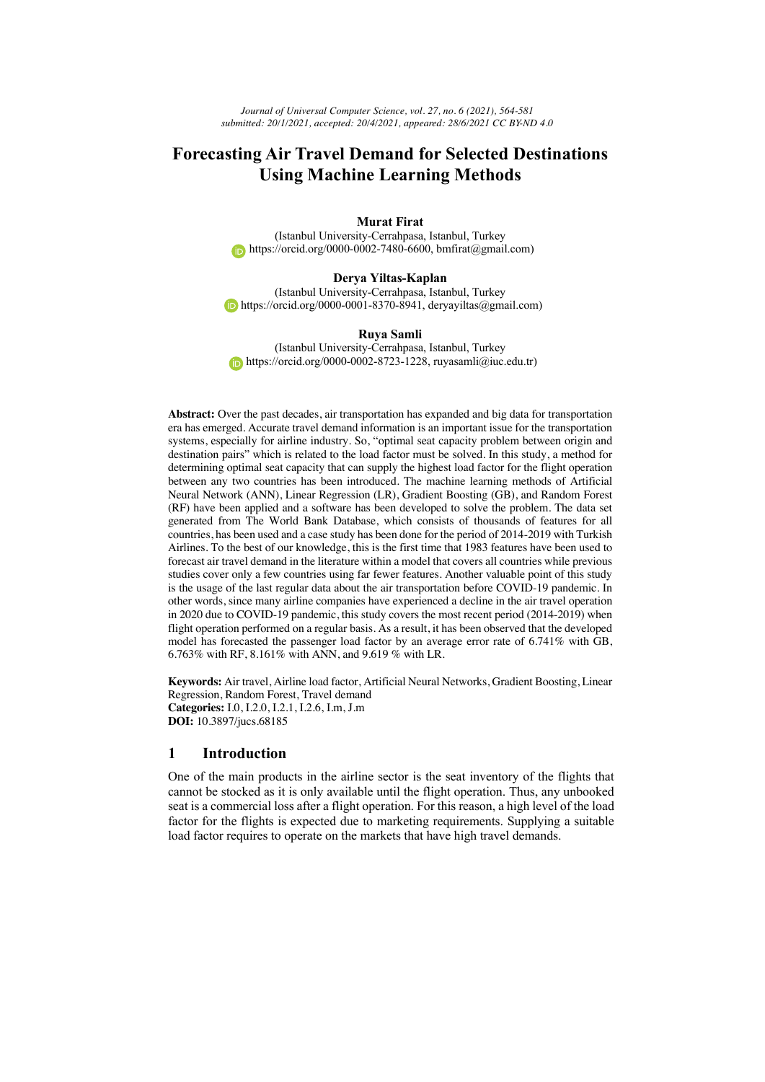# **Forecasting Air Travel Demand for Selected Destinations Using Machine Learning Methods**

# **Murat Firat**

(Istanbul University-Cerrahpasa, Istanbul, Turkey https://orcid.org/0000-0002-7480-6600, bmfirat@gmail.com)

#### **Derya Yiltas-Kaplan**

(Istanbul University-Cerrahpasa, Istanbul, Turkey  $\bullet$  https://orcid.org/0000-0001-8370-8941, deryayiltas@gmail.com)

#### **Ruya Samli**

(Istanbul University-Cerrahpasa, Istanbul, Turkey https://orcid.org/0000-0002-8723-1228, ruyasamli@iuc.edu.tr)

**Abstract:** Over the past decades, air transportation has expanded and big data for transportation era has emerged. Accurate travel demand information is an important issue for the transportation systems, especially for airline industry. So, "optimal seat capacity problem between origin and destination pairs" which is related to the load factor must be solved. In this study, a method for determining optimal seat capacity that can supply the highest load factor for the flight operation between any two countries has been introduced. The machine learning methods of Artificial Neural Network (ANN), Linear Regression (LR), Gradient Boosting (GB), and Random Forest (RF) have been applied and a software has been developed to solve the problem. The data set generated from The World Bank Database, which consists of thousands of features for all countries, has been used and a case study has been done for the period of 2014-2019 with Turkish Airlines. To the best of our knowledge, this is the first time that 1983 features have been used to forecast air travel demand in the literature within a model that covers all countries while previous studies cover only a few countries using far fewer features. Another valuable point of this study is the usage of the last regular data about the air transportation before COVID-19 pandemic. In other words, since many airline companies have experienced a decline in the air travel operation in 2020 due to COVID-19 pandemic, this study covers the most recent period (2014-2019) when flight operation performed on a regular basis. As a result, it has been observed that the developed model has forecasted the passenger load factor by an average error rate of 6.741% with GB, 6.763% with RF, 8.161% with ANN, and 9.619 % with LR.

**Keywords:** Air travel, Airline load factor, Artificial Neural Networks, Gradient Boosting, Linear Regression, Random Forest, Travel demand **Categories:** I.0, I.2.0, I.2.1, I.2.6, I.m, J.m **DOI:** 10.3897/jucs.68185

# **1 Introduction**

One of the main products in the airline sector is the seat inventory of the flights that cannot be stocked as it is only available until the flight operation. Thus, any unbooked seat is a commercial loss after a flight operation. For this reason, a high level of the load factor for the flights is expected due to marketing requirements. Supplying a suitable load factor requires to operate on the markets that have high travel demands.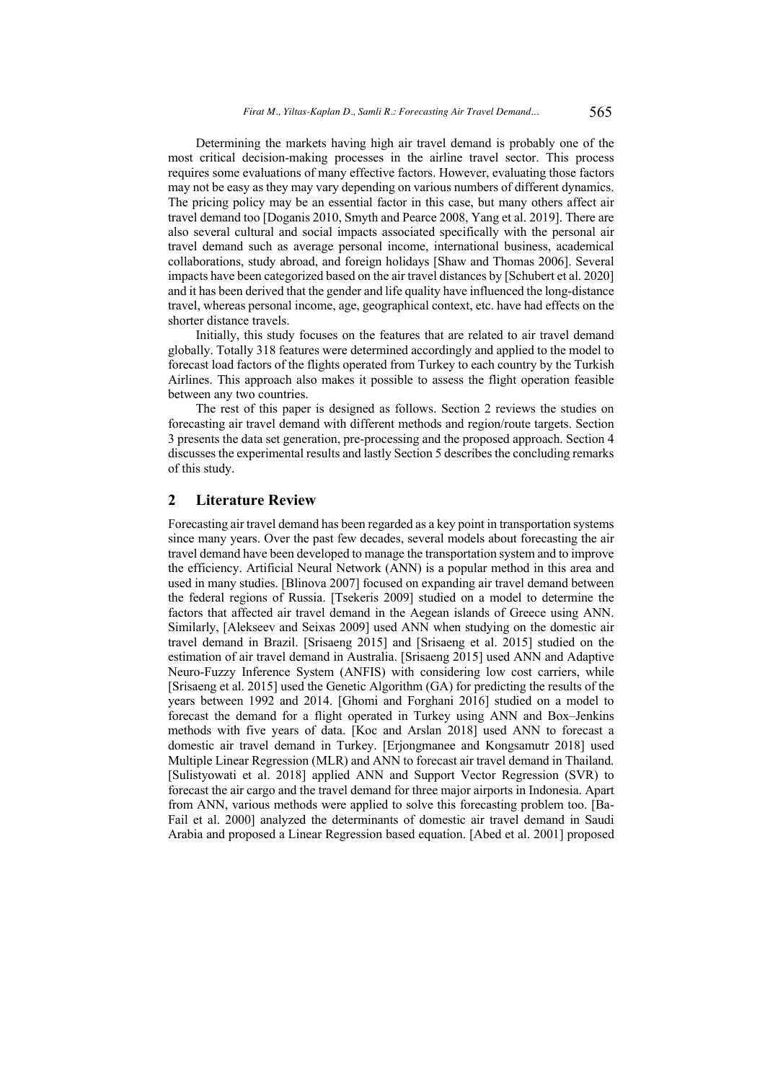Determining the markets having high air travel demand is probably one of the most critical decision-making processes in the airline travel sector. This process requires some evaluations of many effective factors. However, evaluating those factors may not be easy as they may vary depending on various numbers of different dynamics. The pricing policy may be an essential factor in this case, but many others affect air travel demand too [Doganis 2010, Smyth and Pearce 2008, Yang et al. 2019]. There are also several cultural and social impacts associated specifically with the personal air travel demand such as average personal income, international business, academical collaborations, study abroad, and foreign holidays [Shaw and Thomas 2006]. Several impacts have been categorized based on the air travel distances by [Schubert et al. 2020] and it has been derived that the gender and life quality have influenced the long-distance travel, whereas personal income, age, geographical context, etc. have had effects on the shorter distance travels.

Initially, this study focuses on the features that are related to air travel demand globally. Totally 318 features were determined accordingly and applied to the model to forecast load factors of the flights operated from Turkey to each country by the Turkish Airlines. This approach also makes it possible to assess the flight operation feasible between any two countries.

The rest of this paper is designed as follows. Section 2 reviews the studies on forecasting air travel demand with different methods and region/route targets. Section 3 presents the data set generation, pre-processing and the proposed approach. Section 4 discusses the experimental results and lastly Section 5 describes the concluding remarks of this study.

# **2 Literature Review**

Forecasting air travel demand has been regarded as a key point in transportation systems since many years. Over the past few decades, several models about forecasting the air travel demand have been developed to manage the transportation system and to improve the efficiency. Artificial Neural Network (ANN) is a popular method in this area and used in many studies. [Blinova 2007] focused on expanding air travel demand between the federal regions of Russia. [Tsekeris 2009] studied on a model to determine the factors that affected air travel demand in the Aegean islands of Greece using ANN. Similarly, [Alekseev and Seixas 2009] used ANN when studying on the domestic air travel demand in Brazil. [Srisaeng 2015] and [Srisaeng et al. 2015] studied on the estimation of air travel demand in Australia. [Srisaeng 2015] used ANN and Adaptive Neuro-Fuzzy Inference System (ANFIS) with considering low cost carriers, while [Srisaeng et al. 2015] used the Genetic Algorithm (GA) for predicting the results of the years between 1992 and 2014. [Ghomi and Forghani 2016] studied on a model to forecast the demand for a flight operated in Turkey using ANN and Box–Jenkins methods with five years of data. [Koc and Arslan 2018] used ANN to forecast a domestic air travel demand in Turkey. [Erjongmanee and Kongsamutr 2018] used Multiple Linear Regression (MLR) and ANN to forecast air travel demand in Thailand. [Sulistyowati et al. 2018] applied ANN and Support Vector Regression (SVR) to forecast the air cargo and the travel demand for three major airports in Indonesia. Apart from ANN, various methods were applied to solve this forecasting problem too. [Ba-Fail et al. 2000] analyzed the determinants of domestic air travel demand in Saudi Arabia and proposed a Linear Regression based equation. [Abed et al. 2001] proposed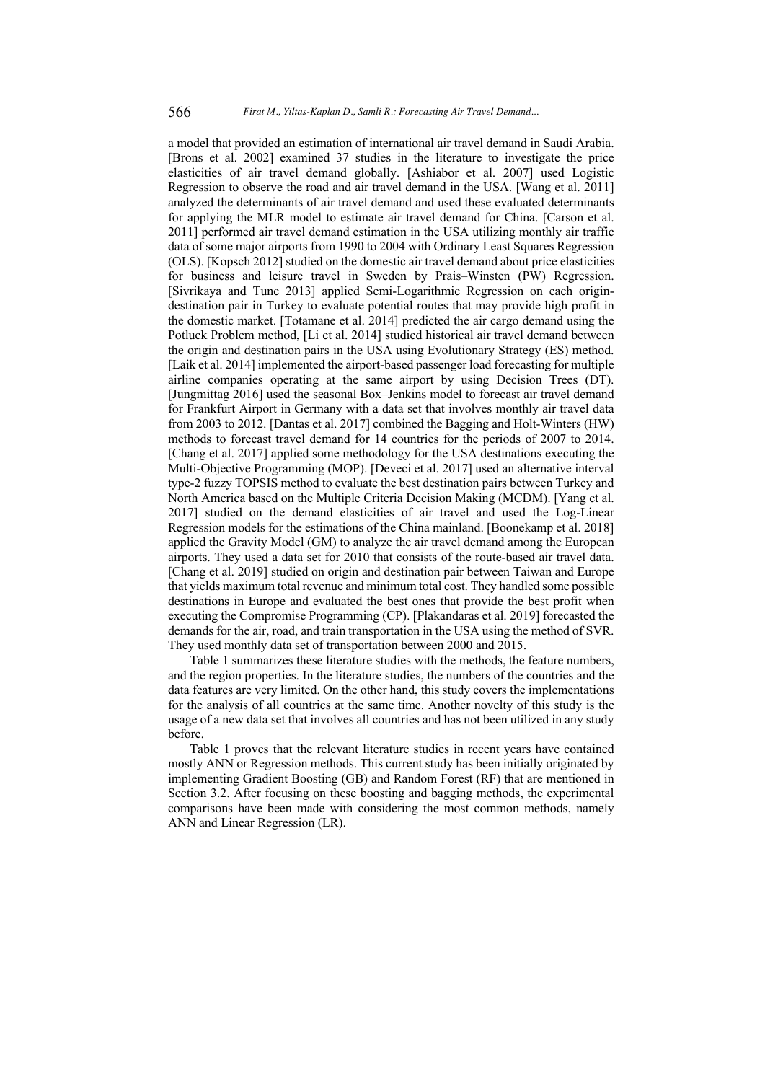a model that provided an estimation of international air travel demand in Saudi Arabia. [Brons et al. 2002] examined 37 studies in the literature to investigate the price elasticities of air travel demand globally. [Ashiabor et al. 2007] used Logistic Regression to observe the road and air travel demand in the USA. [Wang et al. 2011] analyzed the determinants of air travel demand and used these evaluated determinants for applying the MLR model to estimate air travel demand for China. [Carson et al. 2011] performed air travel demand estimation in the USA utilizing monthly air traffic data of some major airports from 1990 to 2004 with Ordinary Least Squares Regression (OLS). [Kopsch 2012] studied on the domestic air travel demand about price elasticities for business and leisure travel in Sweden by Prais–Winsten (PW) Regression. [Sivrikaya and Tunc 2013] applied Semi-Logarithmic Regression on each origindestination pair in Turkey to evaluate potential routes that may provide high profit in the domestic market. [Totamane et al. 2014] predicted the air cargo demand using the Potluck Problem method, [Li et al. 2014] studied historical air travel demand between the origin and destination pairs in the USA using Evolutionary Strategy (ES) method. [Laik et al. 2014] implemented the airport-based passenger load forecasting for multiple airline companies operating at the same airport by using Decision Trees (DT). [Jungmittag 2016] used the seasonal Box–Jenkins model to forecast air travel demand for Frankfurt Airport in Germany with a data set that involves monthly air travel data from 2003 to 2012. [Dantas et al. 2017] combined the Bagging and Holt-Winters (HW) methods to forecast travel demand for 14 countries for the periods of 2007 to 2014. [Chang et al. 2017] applied some methodology for the USA destinations executing the Multi-Objective Programming (MOP). [Deveci et al. 2017] used an alternative interval type-2 fuzzy TOPSIS method to evaluate the best destination pairs between Turkey and North America based on the Multiple Criteria Decision Making (MCDM). [Yang et al. 2017] studied on the demand elasticities of air travel and used the Log-Linear Regression models for the estimations of the China mainland. [Boonekamp et al. 2018] applied the Gravity Model (GM) to analyze the air travel demand among the European airports. They used a data set for 2010 that consists of the route-based air travel data. [Chang et al. 2019] studied on origin and destination pair between Taiwan and Europe that yields maximum total revenue and minimum total cost. They handled some possible destinations in Europe and evaluated the best ones that provide the best profit when executing the Compromise Programming (CP). [Plakandaras et al. 2019] forecasted the demands for the air, road, and train transportation in the USA using the method of SVR. They used monthly data set of transportation between 2000 and 2015.

Table 1 summarizes these literature studies with the methods, the feature numbers, and the region properties. In the literature studies, the numbers of the countries and the data features are very limited. On the other hand, this study covers the implementations for the analysis of all countries at the same time. Another novelty of this study is the usage of a new data set that involves all countries and has not been utilized in any study before.

Table 1 proves that the relevant literature studies in recent years have contained mostly ANN or Regression methods. This current study has been initially originated by implementing Gradient Boosting (GB) and Random Forest (RF) that are mentioned in Section 3.2. After focusing on these boosting and bagging methods, the experimental comparisons have been made with considering the most common methods, namely ANN and Linear Regression (LR).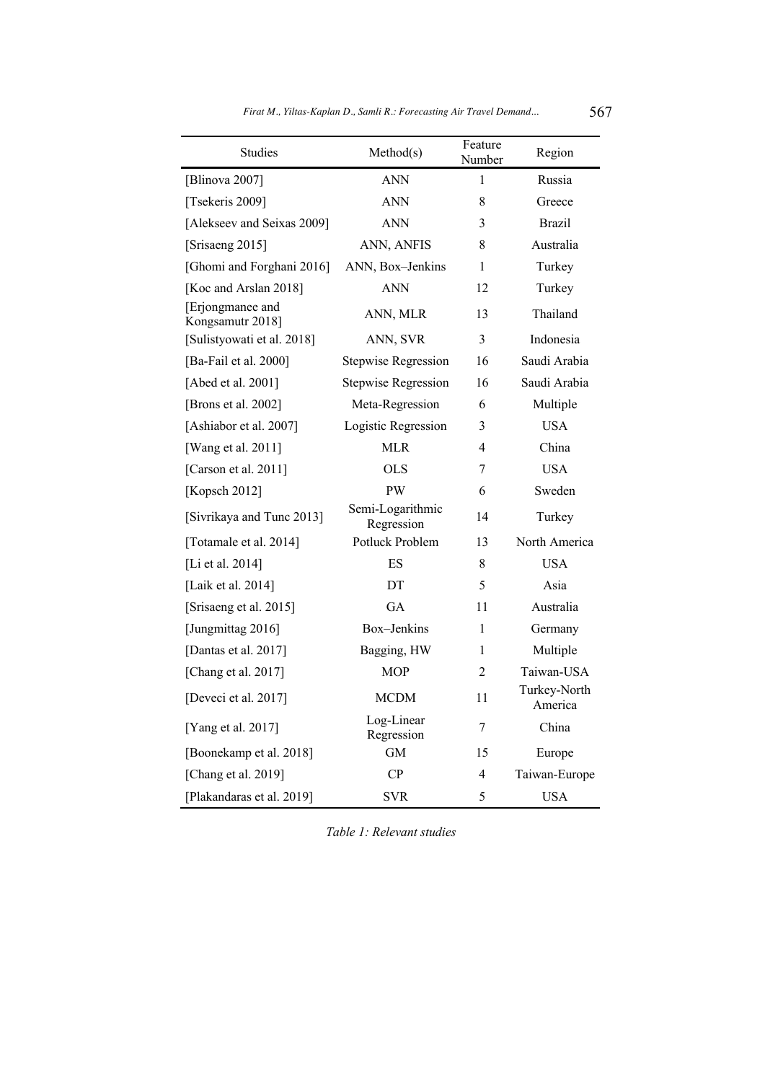| Studies                              | Method(s)                      | Feature<br>Number             | Region        |  |
|--------------------------------------|--------------------------------|-------------------------------|---------------|--|
| [Blinova 2007]                       | <b>ANN</b>                     | 1                             | Russia        |  |
| [Tsekeris 2009]                      | <b>ANN</b>                     | 8                             | Greece        |  |
| [Alekseev and Seixas 2009]           | <b>ANN</b>                     | 3                             | <b>Brazil</b> |  |
| [Srisaeng 2015]                      | ANN, ANFIS                     | 8                             | Australia     |  |
| [Ghomi and Forghani 2016]            | ANN, Box-Jenkins               | 1                             | Turkey        |  |
| [Koc and Arslan 2018]                | <b>ANN</b>                     | 12                            | Turkey        |  |
| [Erjongmanee and<br>Kongsamutr 2018] | ANN, MLR                       | 13                            | Thailand      |  |
| [Sulistyowati et al. 2018]           | ANN, SVR                       | 3                             | Indonesia     |  |
| [Ba-Fail et al. 2000]                | Stepwise Regression            | 16                            | Saudi Arabia  |  |
| [Abed et al. 2001]                   | Stepwise Regression            | 16                            | Saudi Arabia  |  |
| [Brons et al. 2002]                  | Meta-Regression                | 6                             | Multiple      |  |
| [Ashiabor et al. 2007]               | Logistic Regression            | 3                             | <b>USA</b>    |  |
| [Wang et al. 2011]                   | <b>MLR</b>                     | $\overline{4}$                | China         |  |
| [Carson et al. 2011]                 | <b>OLS</b>                     | 7                             | <b>USA</b>    |  |
| [Kopsch 2012]                        | PW                             | 6                             | Sweden        |  |
| [Sivrikaya and Tunc 2013]            | Semi-Logarithmic<br>Regression | 14                            | Turkey        |  |
| [Totamale et al. 2014]               | Potluck Problem                | 13                            | North America |  |
| [Li et al. 2014]                     | ES                             | 8                             | <b>USA</b>    |  |
| [Laik et al. 2014]                   | DT                             | 5                             | Asia          |  |
| [Srisaeng et al. 2015]               | GA                             | 11                            | Australia     |  |
| [Jungmittag 2016]                    | Box-Jenkins                    | 1                             | Germany       |  |
| [Dantas et al. 2017]                 | Bagging, HW                    | 1                             | Multiple      |  |
| [Chang et al. 2017]                  | <b>MOP</b>                     | 2                             | Taiwan-USA    |  |
| [Deveci et al. 2017]                 | <b>MCDM</b>                    | Turkey-North<br>11<br>America |               |  |
| [Yang et al. 2017]                   | Log-Linear<br>Regression       | China<br>7                    |               |  |
| [Boonekamp et al. 2018]              | GM                             | 15                            | Europe        |  |
| [Chang et al. 2019]                  | CP                             | 4                             | Taiwan-Europe |  |
| [Plakandaras et al. 2019]            | <b>SVR</b>                     | 5<br><b>USA</b>               |               |  |

*Firat M., Yiltas-Kaplan D., Samli R.: Forecasting Air Travel Demand...* 567

*Table 1: Relevant studies*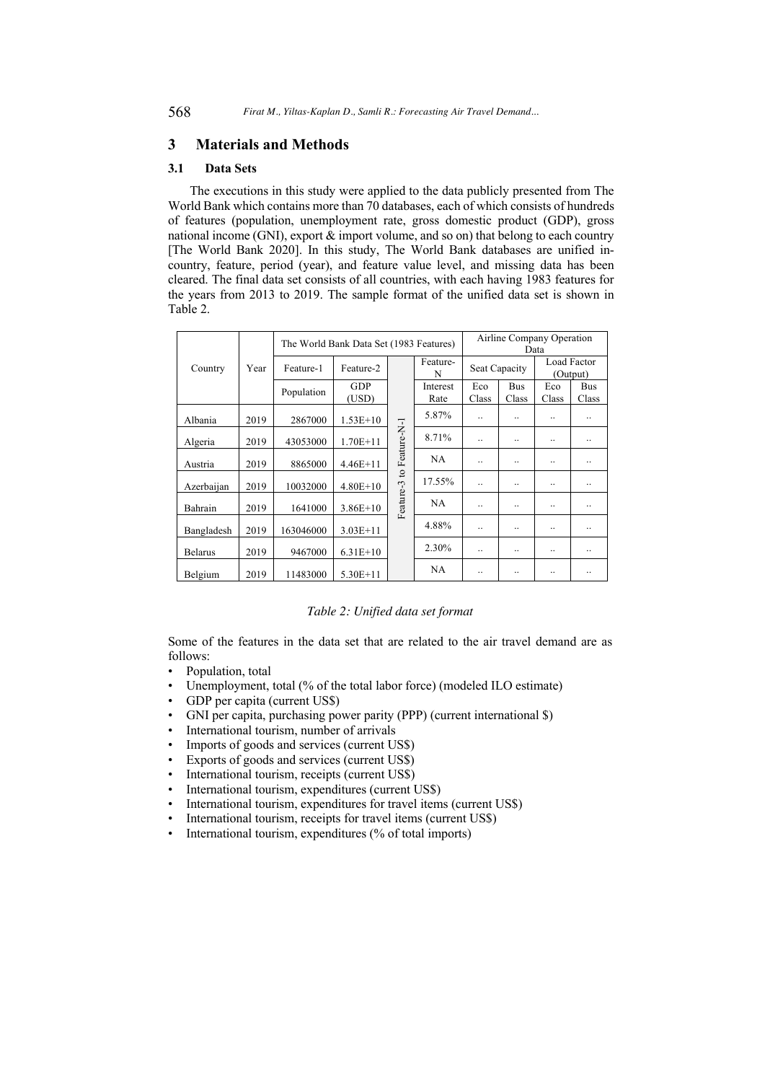## **3 Materials and Methods**

### **3.1 Data Sets**

The executions in this study were applied to the data publicly presented from The World Bank which contains more than 70 databases, each of which consists of hundreds of features (population, unemployment rate, gross domestic product (GDP), gross national income (GNI), export & import volume, and so on) that belong to each country [The World Bank 2020]. In this study, The World Bank databases are unified incountry, feature, period (year), and feature value level, and missing data has been cleared. The final data set consists of all countries, with each having 1983 features for the years from 2013 to 2019. The sample format of the unified data set is shown in Table 2.

|                |      | The World Bank Data Set (1983 Features) |              |                |                  | Airline Company Operation<br>Data |                      |                         |                     |
|----------------|------|-----------------------------------------|--------------|----------------|------------------|-----------------------------------|----------------------|-------------------------|---------------------|
| Country        | Year | Feature-1                               | Feature-2    |                | Feature-<br>N    | Seat Capacity                     |                      | Load Factor<br>(Output) |                     |
|                |      | Population                              | GDP<br>(USD) | to Feature-N-1 | Interest<br>Rate | Eco<br>Class                      | <b>Bus</b><br>Class  | Eco<br>Class            | <b>Bus</b><br>Class |
| Albania        | 2019 | 2867000                                 | $1.53E+10$   |                | 5.87%            | $\ddot{\phantom{0}}$              | $\ddot{\phantom{a}}$ |                         |                     |
| Algeria        | 2019 | 43053000                                | $1.70E+11$   |                | 8.71%            |                                   |                      |                         |                     |
| Austria        | 2019 | 8865000                                 | $4.46E+11$   |                | NA               |                                   |                      |                         |                     |
| Azerbaijan     | 2019 | 10032000                                | $4.80E+10$   |                | 17.55%           | $\ddot{\phantom{0}}$              |                      |                         |                     |
| Bahrain        | 2019 | 1641000                                 | $3.86E+10$   | Feature-3      | NA               | $\ddot{\phantom{0}}$              |                      |                         |                     |
| Bangladesh     | 2019 | 163046000                               | $3.03E+11$   |                | 4.88%            |                                   |                      |                         |                     |
| <b>Belarus</b> | 2019 | 9467000                                 | $6.31E+10$   |                | 2.30%            |                                   |                      |                         |                     |
| Belgium        | 2019 | 11483000                                | $5.30E+11$   |                | NA               |                                   |                      |                         |                     |

*Table 2: Unified data set format*

Some of the features in the data set that are related to the air travel demand are as follows:

- Population, total
- Unemployment, total (% of the total labor force) (modeled ILO estimate)
- GDP per capita (current US\$)
- GNI per capita, purchasing power parity (PPP) (current international \$)
- International tourism, number of arrivals
- Imports of goods and services (current US\$)
- Exports of goods and services (current US\$)
- International tourism, receipts (current US\$)
- International tourism, expenditures (current US\$)
- International tourism, expenditures for travel items (current US\$)
- International tourism, receipts for travel items (current US\$)
- International tourism, expenditures (% of total imports)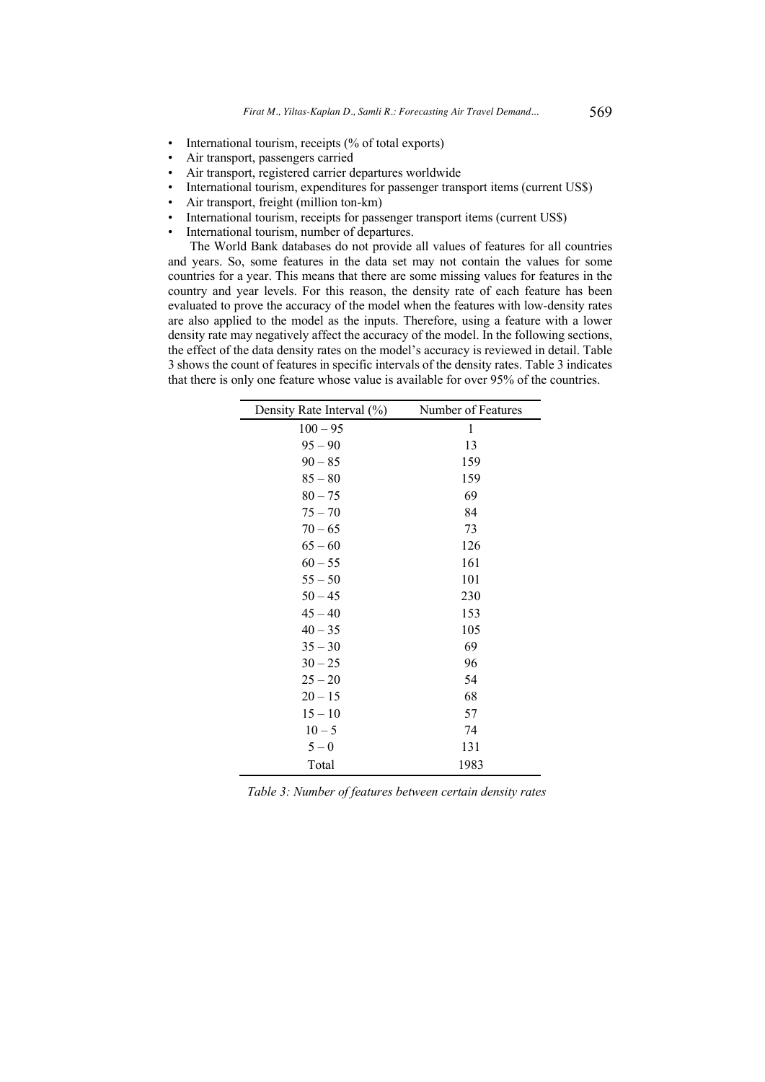- International tourism, receipts (% of total exports)
- Air transport, passengers carried
- Air transport, registered carrier departures worldwide
- International tourism, expenditures for passenger transport items (current US\$)
- Air transport, freight (million ton-km)
- International tourism, receipts for passenger transport items (current US\$)
- International tourism, number of departures.

The World Bank databases do not provide all values of features for all countries and years. So, some features in the data set may not contain the values for some countries for a year. This means that there are some missing values for features in the country and year levels. For this reason, the density rate of each feature has been evaluated to prove the accuracy of the model when the features with low-density rates are also applied to the model as the inputs. Therefore, using a feature with a lower density rate may negatively affect the accuracy of the model. In the following sections, the effect of the data density rates on the model's accuracy is reviewed in detail. Table 3 shows the count of features in specific intervals of the density rates. Table 3 indicates that there is only one feature whose value is available for over 95% of the countries.

| Density Rate Interval (%) | Number of Features |  |  |  |
|---------------------------|--------------------|--|--|--|
| $100 - 95$                | 1                  |  |  |  |
| $95 - 90$                 | 13                 |  |  |  |
| $90 - 85$                 | 159                |  |  |  |
| $85 - 80$                 | 159                |  |  |  |
| $80 - 75$                 | 69                 |  |  |  |
| $75 - 70$                 | 84                 |  |  |  |
| $70 - 65$                 | 73                 |  |  |  |
| $65 - 60$                 | 126                |  |  |  |
| $60 - 55$                 | 161                |  |  |  |
| $55 - 50$                 | 101                |  |  |  |
| $50 - 45$                 | 230                |  |  |  |
| $45 - 40$                 | 153                |  |  |  |
| $40 - 35$                 | 105                |  |  |  |
| $35 - 30$                 | 69                 |  |  |  |
| $30 - 25$                 | 96                 |  |  |  |
| $25 - 20$                 | 54                 |  |  |  |
| $20 - 15$                 | 68                 |  |  |  |
| $15 - 10$                 | 57                 |  |  |  |
| $10 - 5$                  | 74                 |  |  |  |
| $5-0$                     | 131                |  |  |  |
| Total                     | 1983               |  |  |  |

*Table 3: Number of features between certain density rates*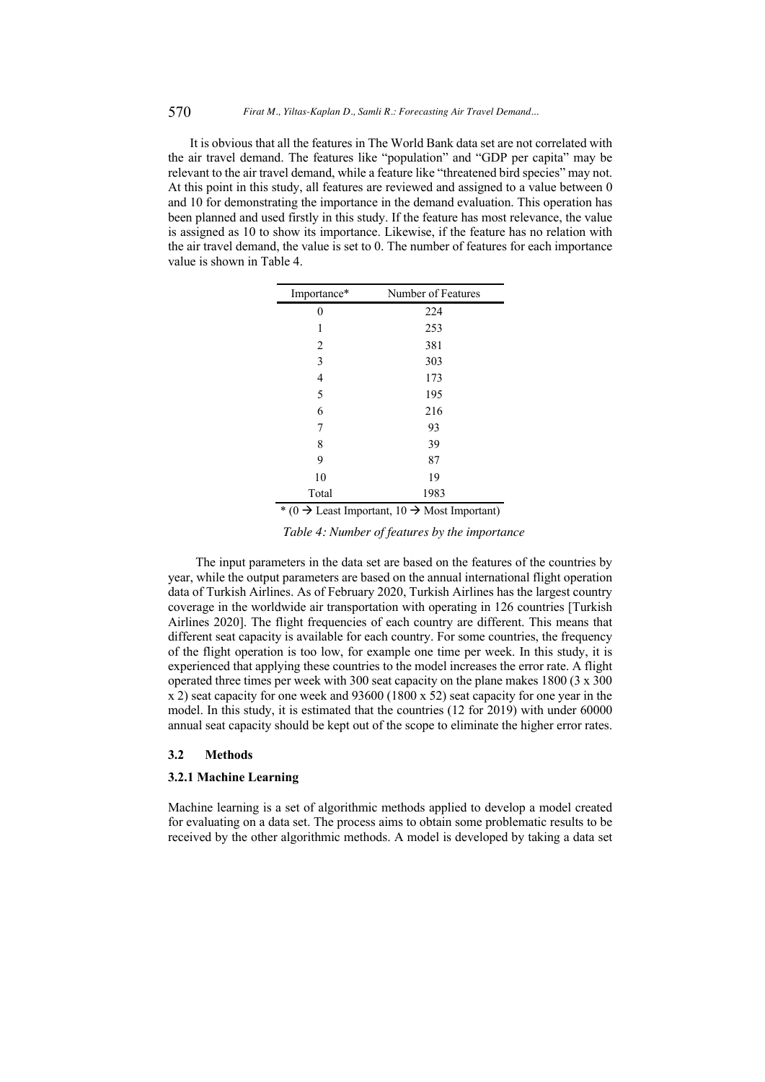It is obvious that all the features in The World Bank data set are not correlated with the air travel demand. The features like "population" and "GDP per capita" may be relevant to the air travel demand, while a feature like "threatened bird species" may not. At this point in this study, all features are reviewed and assigned to a value between 0 and 10 for demonstrating the importance in the demand evaluation. This operation has been planned and used firstly in this study. If the feature has most relevance, the value is assigned as 10 to show its importance. Likewise, if the feature has no relation with the air travel demand, the value is set to 0. The number of features for each importance value is shown in Table 4.

| Importance* | Number of Features |
|-------------|--------------------|
| 0           | 224                |
| 1           | 253                |
| 2           | 381                |
| 3           | 303                |
| 4           | 173                |
| 5           | 195                |
| 6           | 216                |
| 7           | 93                 |
| 8           | 39                 |
| 9           | 87                 |
| 10          | 19                 |
| Total       | 1983               |

\* (0  $\rightarrow$  Least Important, 10  $\rightarrow$  Most Important)

*Table 4: Number of features by the importance*

The input parameters in the data set are based on the features of the countries by year, while the output parameters are based on the annual international flight operation data of Turkish Airlines. As of February 2020, Turkish Airlines has the largest country coverage in the worldwide air transportation with operating in 126 countries [Turkish Airlines 2020]. The flight frequencies of each country are different. This means that different seat capacity is available for each country. For some countries, the frequency of the flight operation is too low, for example one time per week. In this study, it is experienced that applying these countries to the model increases the error rate. A flight operated three times per week with 300 seat capacity on the plane makes 1800 (3 x 300 x 2) seat capacity for one week and 93600 (1800 x 52) seat capacity for one year in the model. In this study, it is estimated that the countries (12 for 2019) with under 60000 annual seat capacity should be kept out of the scope to eliminate the higher error rates.

### **3.2 Methods**

### **3.2.1 Machine Learning**

Machine learning is a set of algorithmic methods applied to develop a model created for evaluating on a data set. The process aims to obtain some problematic results to be received by the other algorithmic methods. A model is developed by taking a data set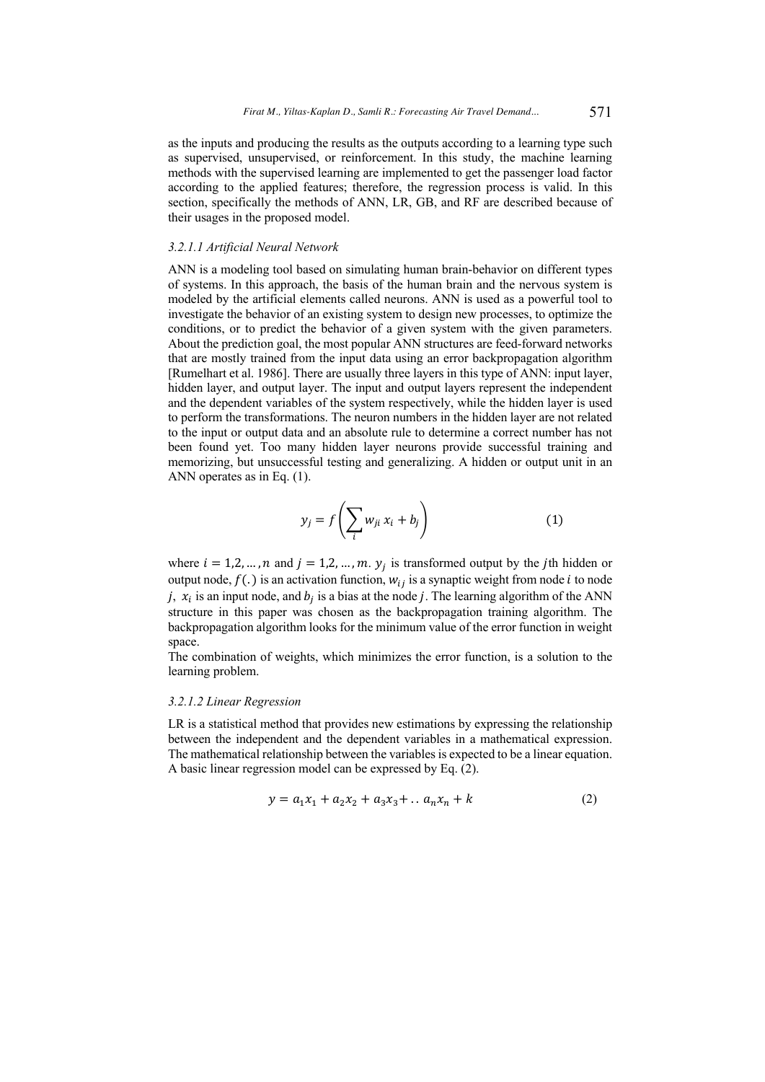as the inputs and producing the results as the outputs according to a learning type such as supervised, unsupervised, or reinforcement. In this study, the machine learning methods with the supervised learning are implemented to get the passenger load factor according to the applied features; therefore, the regression process is valid. In this section, specifically the methods of ANN, LR, GB, and RF are described because of their usages in the proposed model.

### *3.2.1.1 Artificial Neural Network*

ANN is a modeling tool based on simulating human brain-behavior on different types of systems. In this approach, the basis of the human brain and the nervous system is modeled by the artificial elements called neurons. ANN is used as a powerful tool to investigate the behavior of an existing system to design new processes, to optimize the conditions, or to predict the behavior of a given system with the given parameters. About the prediction goal, the most popular ANN structures are feed-forward networks that are mostly trained from the input data using an error backpropagation algorithm [Rumelhart et al. 1986]. There are usually three layers in this type of ANN: input layer, hidden layer, and output layer. The input and output layers represent the independent and the dependent variables of the system respectively, while the hidden layer is used to perform the transformations. The neuron numbers in the hidden layer are not related to the input or output data and an absolute rule to determine a correct number has not been found yet. Too many hidden layer neurons provide successful training and memorizing, but unsuccessful testing and generalizing. A hidden or output unit in an ANN operates as in Eq. (1).

$$
y_j = f\left(\sum_i w_{ji} x_i + b_j\right) \tag{1}
$$

where  $i = 1, 2, ..., n$  and  $j = 1, 2, ..., m$ .  $y_j$  is transformed output by the jth hidden or output node,  $f(.)$  is an activation function,  $w_{ij}$  is a synaptic weight from node *i* to node j,  $x_i$  is an input node, and  $b_i$  is a bias at the node j. The learning algorithm of the ANN structure in this paper was chosen as the backpropagation training algorithm. The backpropagation algorithm looks for the minimum value of the error function in weight space.

The combination of weights, which minimizes the error function, is a solution to the learning problem.

### *3.2.1.2 Linear Regression*

LR is a statistical method that provides new estimations by expressing the relationship between the independent and the dependent variables in a mathematical expression. The mathematical relationship between the variables is expected to be a linear equation. A basic linear regression model can be expressed by Eq. (2).

$$
y = a_1 x_1 + a_2 x_2 + a_3 x_3 + \dots + a_n x_n + k \tag{2}
$$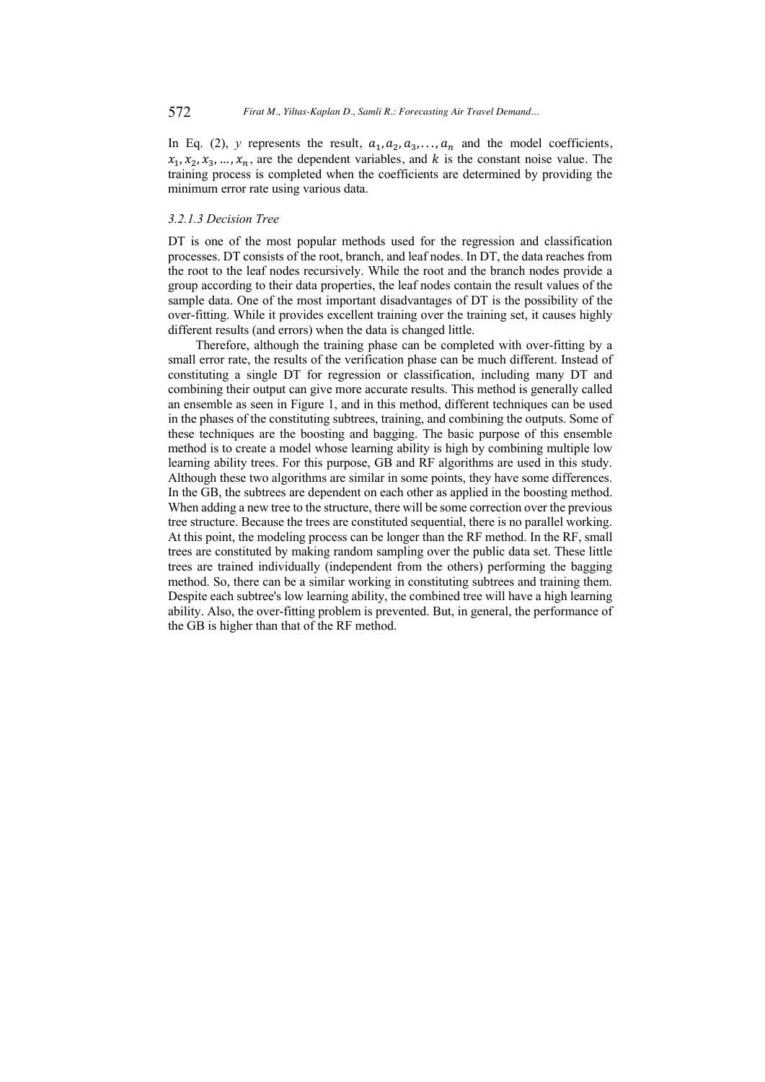In Eq. (2), *y* represents the result,  $a_1, a_2, a_3, \ldots, a_n$  and the model coefficients,  $x_1, x_2, x_3, \ldots, x_n$ , are the dependent variables, and k is the constant noise value. The training process is completed when the coefficients are determined by providing the minimum error rate using various data.

### *3.2.1.3 Decision Tree*

DT is one of the most popular methods used for the regression and classification processes. DT consists of the root, branch, and leaf nodes. In DT, the data reaches from the root to the leaf nodes recursively. While the root and the branch nodes provide a group according to their data properties, the leaf nodes contain the result values of the sample data. One of the most important disadvantages of DT is the possibility of the over-fitting. While it provides excellent training over the training set, it causes highly different results (and errors) when the data is changed little.

Therefore, although the training phase can be completed with over-fitting by a small error rate, the results of the verification phase can be much different. Instead of constituting a single DT for regression or classification, including many DT and combining their output can give more accurate results. This method is generally called an ensemble as seen in Figure 1, and in this method, different techniques can be used in the phases of the constituting subtrees, training, and combining the outputs. Some of these techniques are the boosting and bagging. The basic purpose of this ensemble method is to create a model whose learning ability is high by combining multiple low learning ability trees. For this purpose, GB and RF algorithms are used in this study. Although these two algorithms are similar in some points, they have some differences. In the GB, the subtrees are dependent on each other as applied in the boosting method. When adding a new tree to the structure, there will be some correction over the previous tree structure. Because the trees are constituted sequential, there is no parallel working. At this point, the modeling process can be longer than the RF method. In the RF, small trees are constituted by making random sampling over the public data set. These little trees are trained individually (independent from the others) performing the bagging method. So, there can be a similar working in constituting subtrees and training them. Despite each subtree's low learning ability, the combined tree will have a high learning ability. Also, the over-fitting problem is prevented. But, in general, the performance of the GB is higher than that of the RF method.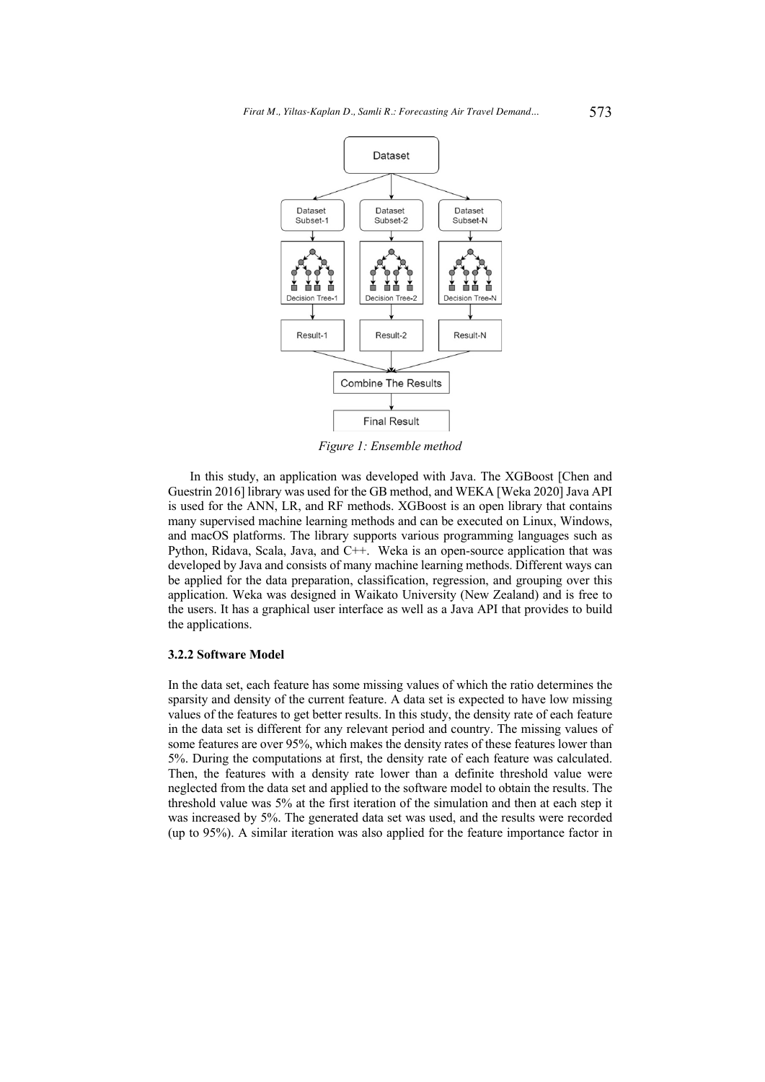

*Figure 1: Ensemble method*

In this study, an application was developed with Java. The XGBoost [Chen and Guestrin 2016] library was used for the GB method, and WEKA [Weka 2020] Java API is used for the ANN, LR, and RF methods. XGBoost is an open library that contains many supervised machine learning methods and can be executed on Linux, Windows, and macOS platforms. The library supports various programming languages such as Python, Ridava, Scala, Java, and C++. Weka is an open-source application that was developed by Java and consists of many machine learning methods. Different ways can be applied for the data preparation, classification, regression, and grouping over this application. Weka was designed in Waikato University (New Zealand) and is free to the users. It has a graphical user interface as well as a Java API that provides to build the applications.

### **3.2.2 Software Model**

In the data set, each feature has some missing values of which the ratio determines the sparsity and density of the current feature. A data set is expected to have low missing values of the features to get better results. In this study, the density rate of each feature in the data set is different for any relevant period and country. The missing values of some features are over 95%, which makes the density rates of these features lower than 5%. During the computations at first, the density rate of each feature was calculated. Then, the features with a density rate lower than a definite threshold value were neglected from the data set and applied to the software model to obtain the results. The threshold value was 5% at the first iteration of the simulation and then at each step it was increased by 5%. The generated data set was used, and the results were recorded (up to 95%). A similar iteration was also applied for the feature importance factor in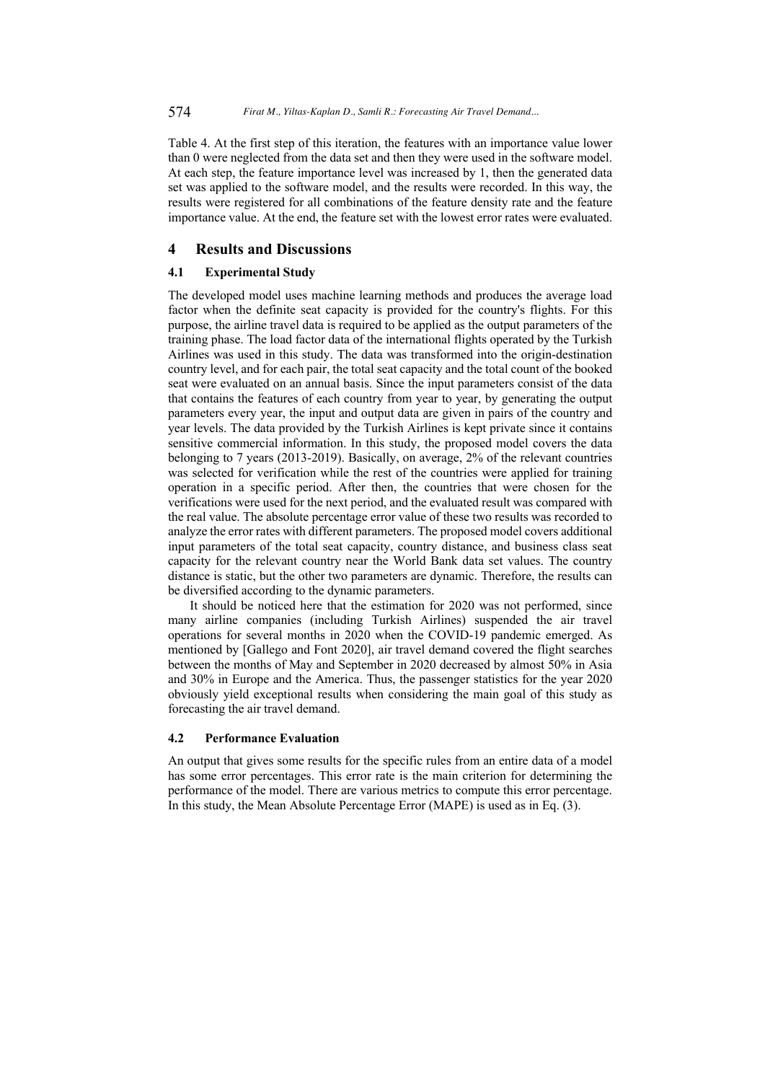Table 4. At the first step of this iteration, the features with an importance value lower than 0 were neglected from the data set and then they were used in the software model. At each step, the feature importance level was increased by 1, then the generated data set was applied to the software model, and the results were recorded. In this way, the results were registered for all combinations of the feature density rate and the feature importance value. At the end, the feature set with the lowest error rates were evaluated.

# **4 Results and Discussions**

### **4.1 Experimental Study**

The developed model uses machine learning methods and produces the average load factor when the definite seat capacity is provided for the country's flights. For this purpose, the airline travel data is required to be applied as the output parameters of the training phase. The load factor data of the international flights operated by the Turkish Airlines was used in this study. The data was transformed into the origin-destination country level, and for each pair, the total seat capacity and the total count of the booked seat were evaluated on an annual basis. Since the input parameters consist of the data that contains the features of each country from year to year, by generating the output parameters every year, the input and output data are given in pairs of the country and year levels. The data provided by the Turkish Airlines is kept private since it contains sensitive commercial information. In this study, the proposed model covers the data belonging to 7 years (2013-2019). Basically, on average, 2% of the relevant countries was selected for verification while the rest of the countries were applied for training operation in a specific period. After then, the countries that were chosen for the verifications were used for the next period, and the evaluated result was compared with the real value. The absolute percentage error value of these two results was recorded to analyze the error rates with different parameters. The proposed model covers additional input parameters of the total seat capacity, country distance, and business class seat capacity for the relevant country near the World Bank data set values. The country distance is static, but the other two parameters are dynamic. Therefore, the results can be diversified according to the dynamic parameters.

It should be noticed here that the estimation for 2020 was not performed, since many airline companies (including Turkish Airlines) suspended the air travel operations for several months in 2020 when the COVID-19 pandemic emerged. As mentioned by [Gallego and Font 2020], air travel demand covered the flight searches between the months of May and September in 2020 decreased by almost 50% in Asia and 30% in Europe and the America. Thus, the passenger statistics for the year 2020 obviously yield exceptional results when considering the main goal of this study as forecasting the air travel demand.

### **4.2 Performance Evaluation**

An output that gives some results for the specific rules from an entire data of a model has some error percentages. This error rate is the main criterion for determining the performance of the model. There are various metrics to compute this error percentage. In this study, the Mean Absolute Percentage Error (MAPE) is used as in Eq. (3).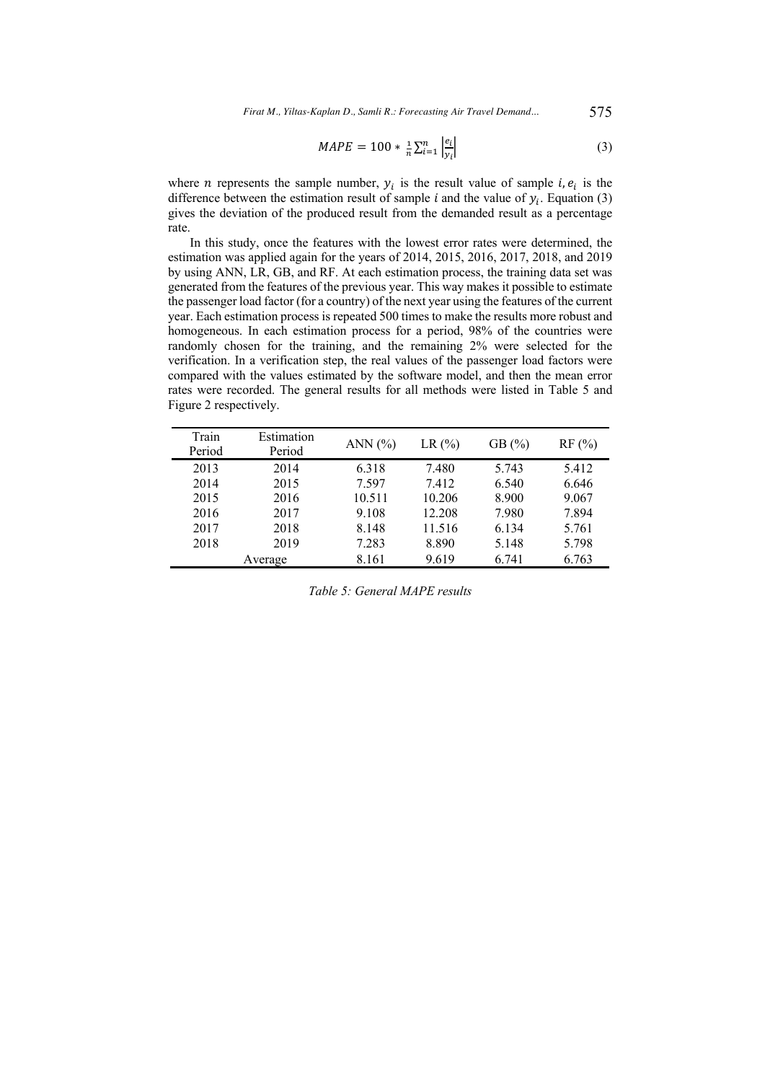*Firat M., Yiltas-Kaplan D., Samli R.: Forecasting Air Travel Demand...* 575

$$
MAPE = 100 * \frac{1}{n} \sum_{i=1}^{n} \left| \frac{e_i}{y_i} \right| \tag{3}
$$

where *n* represents the sample number,  $y_i$  is the result value of sample *i*,  $e_i$  is the difference between the estimation result of sample *i* and the value of  $y_i$ . Equation (3) gives the deviation of the produced result from the demanded result as a percentage rate.

In this study, once the features with the lowest error rates were determined, the estimation was applied again for the years of 2014, 2015, 2016, 2017, 2018, and 2019 by using ANN, LR, GB, and RF. At each estimation process, the training data set was generated from the features of the previous year. This way makes it possible to estimate the passenger load factor (for a country) of the next year using the features of the current year. Each estimation process is repeated 500 times to make the results more robust and homogeneous. In each estimation process for a period, 98% of the countries were randomly chosen for the training, and the remaining 2% were selected for the verification. In a verification step, the real values of the passenger load factors were compared with the values estimated by the software model, and then the mean error rates were recorded. The general results for all methods were listed in Table 5 and Figure 2 respectively.

| Train<br>Period | Estimation<br>Period | ANN $(%)$ | LR(%)  | GB $(\% )$ | $RF$ (%) |
|-----------------|----------------------|-----------|--------|------------|----------|
| 2013            | 2014                 | 6.318     | 7.480  | 5.743      | 5.412    |
| 2014            | 2015                 | 7.597     | 7.412  | 6.540      | 6.646    |
| 2015            | 2016                 | 10.511    | 10.206 | 8.900      | 9.067    |
| 2016            | 2017                 | 9.108     | 12.208 | 7.980      | 7.894    |
| 2017            | 2018                 | 8.148     | 11.516 | 6.134      | 5.761    |
| 2018            | 2019                 | 7.283     | 8.890  | 5.148      | 5.798    |
|                 | Average              | 8.161     | 9.619  | 6.741      | 6.763    |

*Table 5: General MAPE results*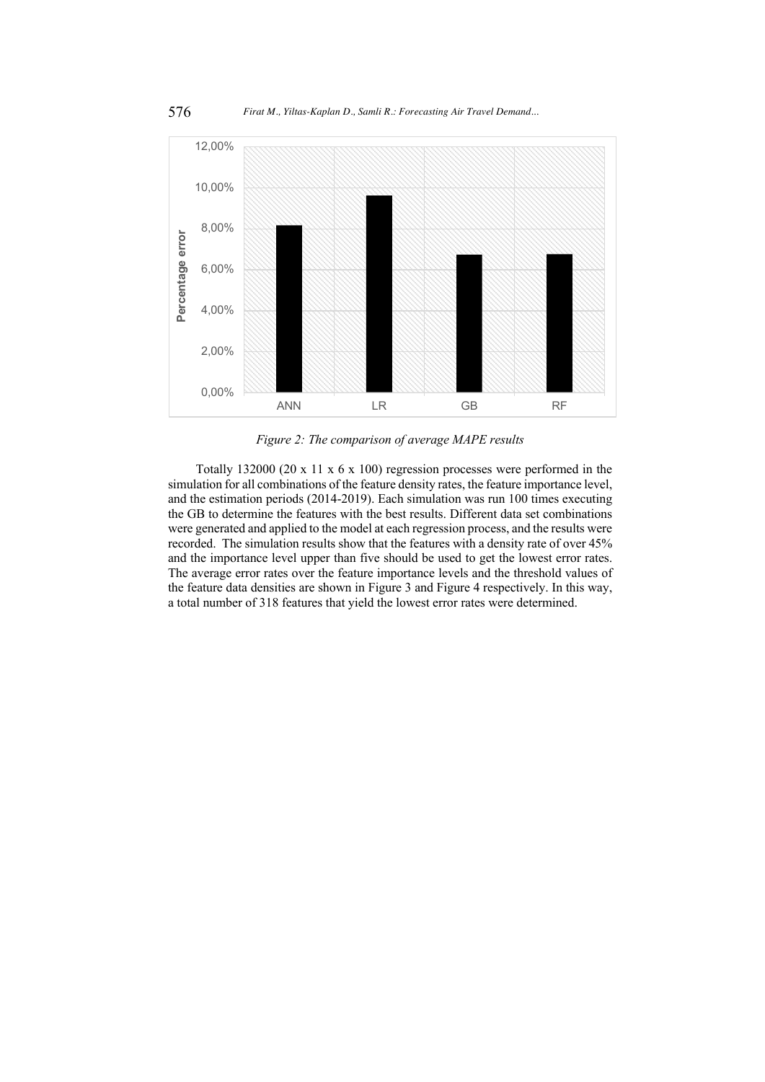

*Figure 2: The comparison of average MAPE results* 

Totally 132000 (20 x 11 x 6 x 100) regression processes were performed in the simulation for all combinations of the feature density rates, the feature importance level, and the estimation periods (2014-2019). Each simulation was run 100 times executing the GB to determine the features with the best results. Different data set combinations were generated and applied to the model at each regression process, and the results were recorded. The simulation results show that the features with a density rate of over 45% and the importance level upper than five should be used to get the lowest error rates. The average error rates over the feature importance levels and the threshold values of the feature data densities are shown in Figure 3 and Figure 4 respectively. In this way, a total number of 318 features that yield the lowest error rates were determined.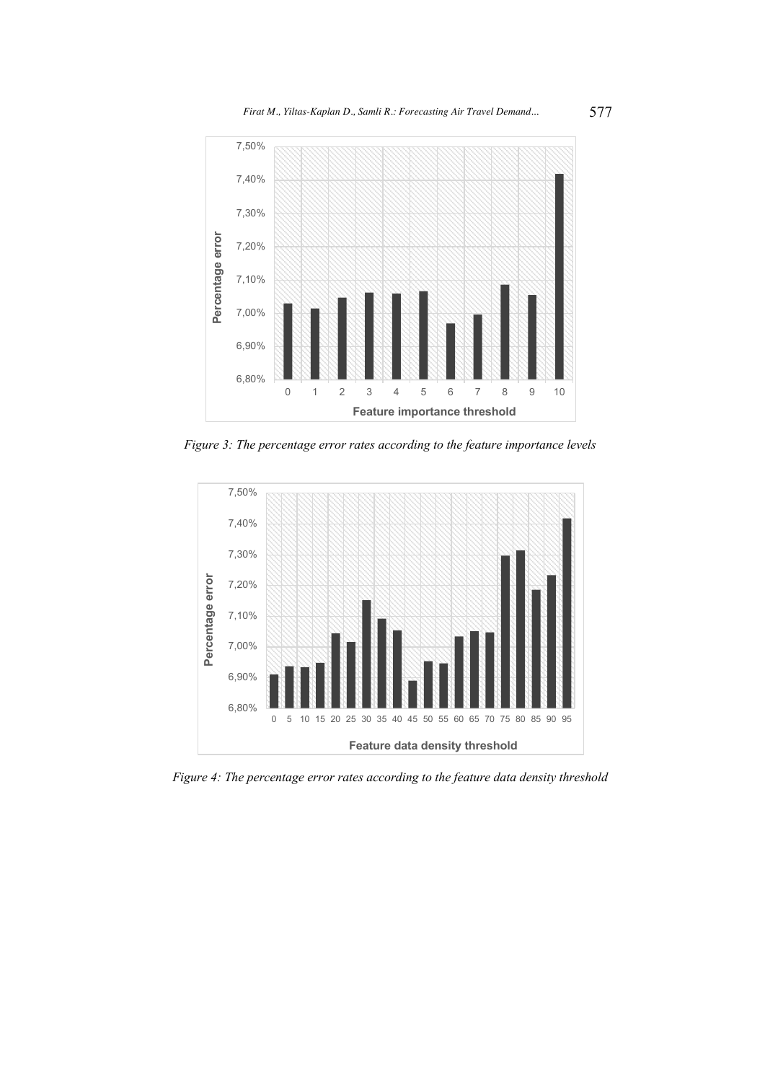

*Figure 3: The percentage error rates according to the feature importance levels*



*Figure 4: The percentage error rates according to the feature data density threshold*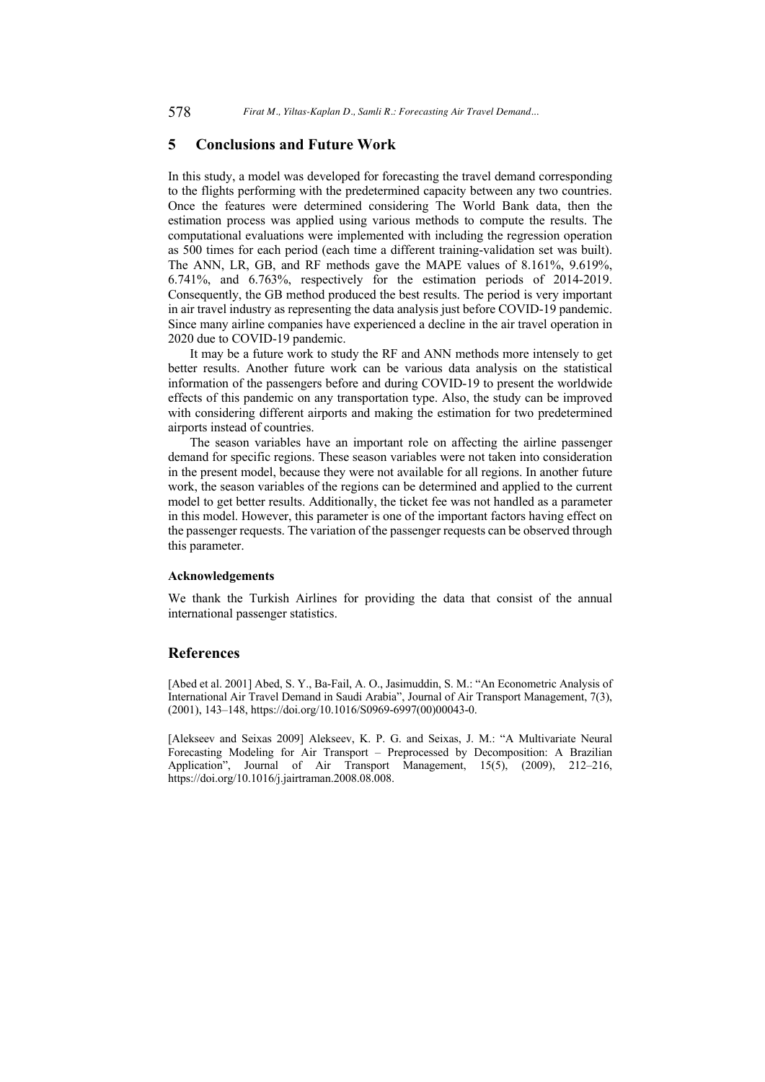### **5 Conclusions and Future Work**

In this study, a model was developed for forecasting the travel demand corresponding to the flights performing with the predetermined capacity between any two countries. Once the features were determined considering The World Bank data, then the estimation process was applied using various methods to compute the results. The computational evaluations were implemented with including the regression operation as 500 times for each period (each time a different training-validation set was built). The ANN, LR, GB, and RF methods gave the MAPE values of 8.161%, 9.619%, 6.741%, and 6.763%, respectively for the estimation periods of 2014-2019. Consequently, the GB method produced the best results. The period is very important in air travel industry as representing the data analysis just before COVID-19 pandemic. Since many airline companies have experienced a decline in the air travel operation in 2020 due to COVID-19 pandemic.

It may be a future work to study the RF and ANN methods more intensely to get better results. Another future work can be various data analysis on the statistical information of the passengers before and during COVID-19 to present the worldwide effects of this pandemic on any transportation type. Also, the study can be improved with considering different airports and making the estimation for two predetermined airports instead of countries.

The season variables have an important role on affecting the airline passenger demand for specific regions. These season variables were not taken into consideration in the present model, because they were not available for all regions. In another future work, the season variables of the regions can be determined and applied to the current model to get better results. Additionally, the ticket fee was not handled as a parameter in this model. However, this parameter is one of the important factors having effect on the passenger requests. The variation of the passenger requests can be observed through this parameter.

#### **Acknowledgements**

We thank the Turkish Airlines for providing the data that consist of the annual international passenger statistics.

# **References**

[Abed et al. 2001] Abed, S. Y., Ba-Fail, A. O., Jasimuddin, S. M.: "An Econometric Analysis of International Air Travel Demand in Saudi Arabia", Journal of Air Transport Management, 7(3), (2001), 143–148, https://doi.org/10.1016/S0969-6997(00)00043-0.

[Alekseev and Seixas 2009] Alekseev, K. P. G. and Seixas, J. M.: "A Multivariate Neural Forecasting Modeling for Air Transport – Preprocessed by Decomposition: A Brazilian Application", Journal of Air Transport Management, 15(5), (2009), 212–216, https://doi.org/10.1016/j.jairtraman.2008.08.008.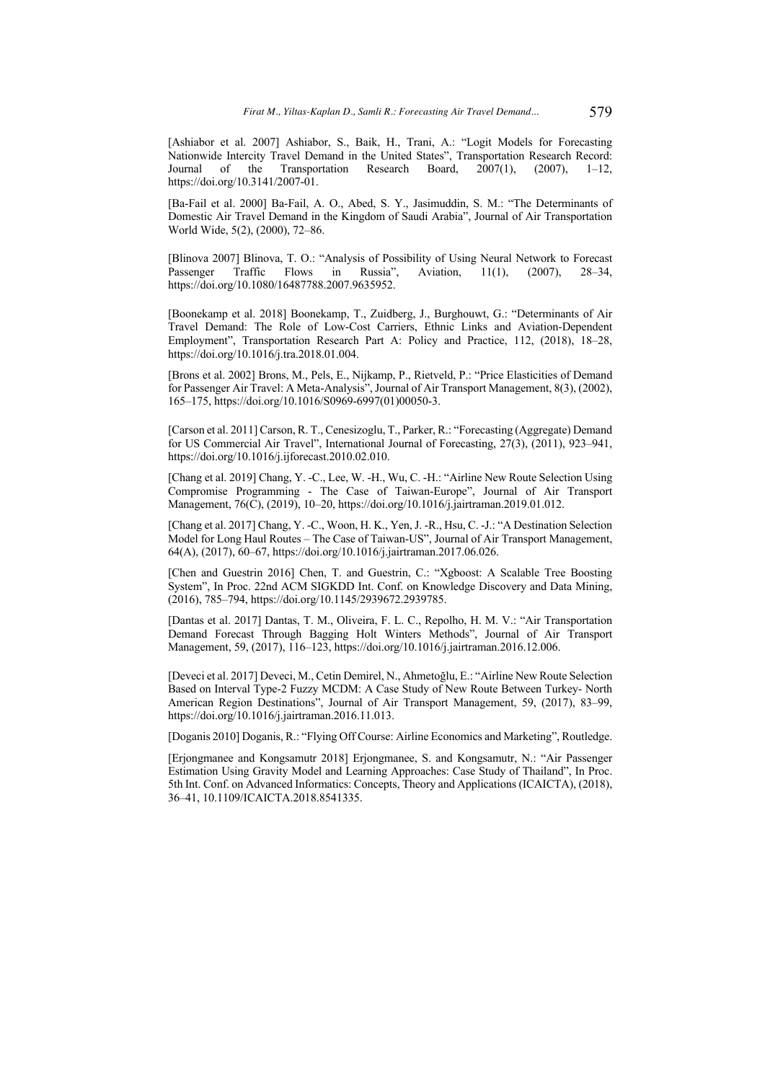[Ashiabor et al. 2007] Ashiabor, S., Baik, H., Trani, A.: "Logit Models for Forecasting Nationwide Intercity Travel Demand in the United States", Transportation Research Record: Journal of the Transportation Research Board,  $2007(1)$ ,  $(2007)$ ,  $1-12$ , https://doi.org/10.3141/2007-01.

[Ba-Fail et al. 2000] Ba-Fail, A. O., Abed, S. Y., Jasimuddin, S. M.: "The Determinants of Domestic Air Travel Demand in the Kingdom of Saudi Arabia", Journal of Air Transportation World Wide, 5(2), (2000), 72–86.

[Blinova 2007] Blinova, T. O.: "Analysis of Possibility of Using Neural Network to Forecast Passenger Traffic Flows in Russia", Aviation, 11(1), (2007), 28–34, https://doi.org/10.1080/16487788.2007.9635952.

[Boonekamp et al. 2018] Boonekamp, T., Zuidberg, J., Burghouwt, G.: "Determinants of Air Travel Demand: The Role of Low-Cost Carriers, Ethnic Links and Aviation-Dependent Employment", Transportation Research Part A: Policy and Practice, 112, (2018), 18–28, https://doi.org/10.1016/j.tra.2018.01.004.

[Brons et al. 2002] Brons, M., Pels, E., Nijkamp, P., Rietveld, P.: "Price Elasticities of Demand for Passenger Air Travel: A Meta-Analysis", Journal of Air Transport Management, 8(3), (2002), 165–175, https://doi.org/10.1016/S0969-6997(01)00050-3.

[Carson et al. 2011] Carson, R. T., Cenesizoglu, T., Parker, R.: "Forecasting (Aggregate) Demand for US Commercial Air Travel", International Journal of Forecasting, 27(3), (2011), 923–941, https://doi.org/10.1016/j.ijforecast.2010.02.010.

[Chang et al. 2019] Chang, Y. -C., Lee, W. -H., Wu, C. -H.: "Airline New Route Selection Using Compromise Programming - The Case of Taiwan-Europe", Journal of Air Transport Management, 76(C), (2019), 10–20, https://doi.org/10.1016/j.jairtraman.2019.01.012.

[Chang et al. 2017] Chang, Y. -C., Woon, H. K., Yen, J. -R., Hsu, C. -J.: "A Destination Selection Model for Long Haul Routes – The Case of Taiwan-US", Journal of Air Transport Management, 64(A), (2017), 60–67, https://doi.org/10.1016/j.jairtraman.2017.06.026.

[Chen and Guestrin 2016] Chen, T. and Guestrin, C.: "Xgboost: A Scalable Tree Boosting System", In Proc. 22nd ACM SIGKDD Int. Conf. on Knowledge Discovery and Data Mining, (2016), 785–794, https://doi.org/10.1145/2939672.2939785.

[Dantas et al. 2017] Dantas, T. M., Oliveira, F. L. C., Repolho, H. M. V.: "Air Transportation Demand Forecast Through Bagging Holt Winters Methods", Journal of Air Transport Management, 59, (2017), 116–123, https://doi.org/10.1016/j.jairtraman.2016.12.006.

[Deveci et al. 2017] Deveci, M., Cetin Demirel, N., Ahmetoğlu, E.: "Airline New Route Selection Based on Interval Type-2 Fuzzy MCDM: A Case Study of New Route Between Turkey- North American Region Destinations", Journal of Air Transport Management, 59, (2017), 83–99, https://doi.org/10.1016/j.jairtraman.2016.11.013.

[Doganis 2010] Doganis, R.: "Flying Off Course: Airline Economics and Marketing", Routledge.

[Erjongmanee and Kongsamutr 2018] Erjongmanee, S. and Kongsamutr, N.: "Air Passenger Estimation Using Gravity Model and Learning Approaches: Case Study of Thailand", In Proc. 5th Int. Conf. on Advanced Informatics: Concepts, Theory and Applications (ICAICTA), (2018), 36–41, 10.1109/ICAICTA.2018.8541335.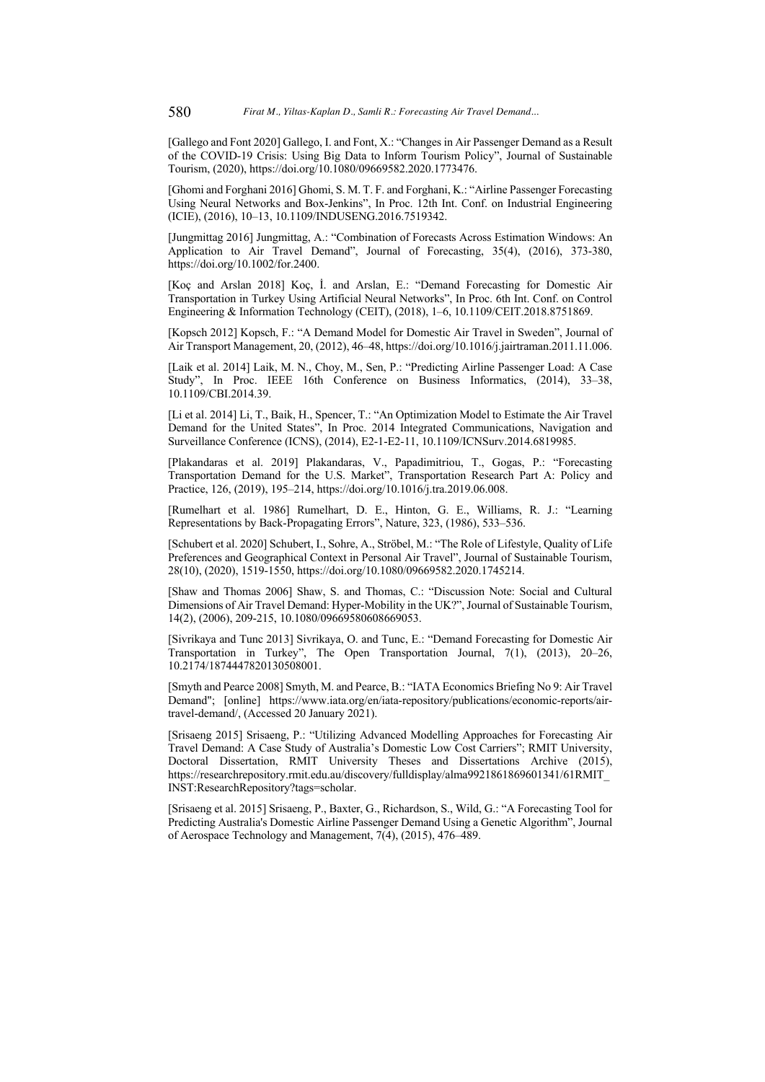[Gallego and Font 2020] Gallego, I. and Font, X.: "Changes in Air Passenger Demand as a Result of the COVID-19 Crisis: Using Big Data to Inform Tourism Policy", Journal of Sustainable Tourism, (2020), https://doi.org/10.1080/09669582.2020.1773476.

[Ghomi and Forghani 2016] Ghomi, S. M. T. F. and Forghani, K.: "Airline Passenger Forecasting Using Neural Networks and Box-Jenkins", In Proc. 12th Int. Conf. on Industrial Engineering (ICIE), (2016), 10–13, 10.1109/INDUSENG.2016.7519342.

[Jungmittag 2016] Jungmittag, A.: "Combination of Forecasts Across Estimation Windows: An Application to Air Travel Demand", Journal of Forecasting, 35(4), (2016), 373-380, https://doi.org/10.1002/for.2400.

[Koç and Arslan 2018] Koç, İ. and Arslan, E.: "Demand Forecasting for Domestic Air Transportation in Turkey Using Artificial Neural Networks", In Proc. 6th Int. Conf. on Control Engineering & Information Technology (CEIT), (2018), 1–6, 10.1109/CEIT.2018.8751869.

[Kopsch 2012] Kopsch, F.: "A Demand Model for Domestic Air Travel in Sweden", Journal of Air Transport Management, 20, (2012), 46–48, https://doi.org/10.1016/j.jairtraman.2011.11.006.

[Laik et al. 2014] Laik, M. N., Choy, M., Sen, P.: "Predicting Airline Passenger Load: A Case Study", In Proc. IEEE 16th Conference on Business Informatics, (2014), 33–38, 10.1109/CBI.2014.39.

[Li et al. 2014] Li, T., Baik, H., Spencer, T.: "An Optimization Model to Estimate the Air Travel Demand for the United States", In Proc. 2014 Integrated Communications, Navigation and Surveillance Conference (ICNS), (2014), E2-1-E2-11, 10.1109/ICNSurv.2014.6819985.

[Plakandaras et al. 2019] Plakandaras, V., Papadimitriou, T., Gogas, P.: "Forecasting Transportation Demand for the U.S. Market", Transportation Research Part A: Policy and Practice, 126, (2019), 195–214, https://doi.org/10.1016/j.tra.2019.06.008.

[Rumelhart et al. 1986] Rumelhart, D. E., Hinton, G. E., Williams, R. J.: "Learning Representations by Back-Propagating Errors", Nature, 323, (1986), 533–536.

[Schubert et al. 2020] Schubert, I., Sohre, A., Ströbel, M.: "The Role of Lifestyle, Quality of Life Preferences and Geographical Context in Personal Air Travel", Journal of Sustainable Tourism, 28(10), (2020), 1519-1550, https://doi.org/10.1080/09669582.2020.1745214.

[Shaw and Thomas 2006] Shaw, S. and Thomas, C.: "Discussion Note: Social and Cultural Dimensions of Air Travel Demand: Hyper-Mobility in the UK?", Journal of Sustainable Tourism, 14(2), (2006), 209-215, 10.1080/09669580608669053.

[Sivrikaya and Tunc 2013] Sivrikaya, O. and Tunc, E.: "Demand Forecasting for Domestic Air Transportation in Turkey", The Open Transportation Journal, 7(1), (2013), 20–26, 10.2174/1874447820130508001.

[Smyth and Pearce 2008] Smyth, M. and Pearce, B.: "IATA Economics Briefing No 9: Air Travel Demand"; [online] https://www.iata.org/en/iata-repository/publications/economic-reports/airtravel-demand/, (Accessed 20 January 2021).

[Srisaeng 2015] Srisaeng, P.: "Utilizing Advanced Modelling Approaches for Forecasting Air Travel Demand: A Case Study of Australia's Domestic Low Cost Carriers"; RMIT University, Doctoral Dissertation, RMIT University Theses and Dissertations Archive (2015), https://researchrepository.rmit.edu.au/discovery/fulldisplay/alma9921861869601341/61RMIT\_ INST:ResearchRepository?tags=scholar.

[Srisaeng et al. 2015] Srisaeng, P., Baxter, G., Richardson, S., Wild, G.: "A Forecasting Tool for Predicting Australia's Domestic Airline Passenger Demand Using a Genetic Algorithm", Journal of Aerospace Technology and Management, 7(4), (2015), 476–489.